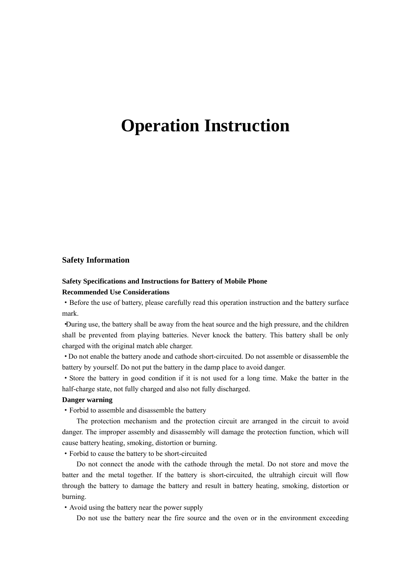# **Operation Instruction**

#### **Safety Information**

#### **Safety Specifications and Instructions for Battery of Mobile Phone Recommended Use Considerations**

·Before the use of battery, please carefully read this operation instruction and the battery surface mark.

·During use, the battery shall be away from the heat source and the high pressure, and the children shall be prevented from playing batteries. Never knock the battery. This battery shall be only charged with the original match able charger.

·Do not enable the battery anode and cathode short-circuited. Do not assemble or disassemble the battery by yourself. Do not put the battery in the damp place to avoid danger.

·Store the battery in good condition if it is not used for a long time. Make the batter in the half-charge state, not fully charged and also not fully discharged.

#### **Danger warning**

·Forbid to assemble and disassemble the battery

The protection mechanism and the protection circuit are arranged in the circuit to avoid danger. The improper assembly and disassembly will damage the protection function, which will cause battery heating, smoking, distortion or burning.

·Forbid to cause the battery to be short-circuited

Do not connect the anode with the cathode through the metal. Do not store and move the batter and the metal together. If the battery is short-circuited, the ultrahigh circuit will flow through the battery to damage the battery and result in battery heating, smoking, distortion or burning.

·Avoid using the battery near the power supply

Do not use the battery near the fire source and the oven or in the environment exceeding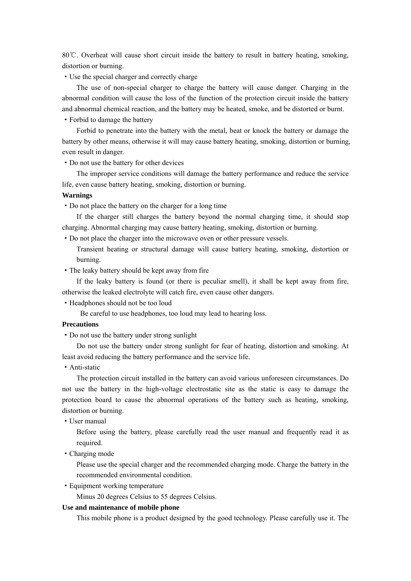80 °C. Overheat will cause short circuit inside the battery to result in battery heating, smoking, distortion or burning.

·Use the special charger and correctly charge

The use of non-special charger to charge the battery will cause danger. Charging in the abnormal condition will cause the loss of the function of the protection circuit inside the battery and abnormal chemical reaction, and the battery may be heated, smoke, and be distorted or burnt.

·Forbid to damage the battery

Forbid to penetrate into the battery with the metal, beat or knock the battery or damage the battery by other means, otherwise it will may cause battery heating, smoking, distortion or burning, even result in danger.

·Do not use the battery for other devices

The improper service conditions will damage the battery performance and reduce the service life, even cause battery heating, smoking, distortion or burning.

#### **Warnings**

·Do not place the battery on the charger for a long time

If the charger still charges the battery beyond the normal charging time, it should stop charging. Abnormal charging may cause battery heating, smoking, distortion or burning.

·Do not place the charger into the microwave oven or other pressure vessels.

Transient heating or structural damage will cause battery heating, smoking, distortion or burning.

·The leaky battery should be kept away from fire

If the leaky battery is found (or there is peculiar smell), it shall be kept away from fire, otherwise the leaked electrolyte will catch fire, even cause other dangers.

·Headphones should not be too loud

Be careful to use headphones, too loud may lead to hearing loss.

#### **Precautions**

·Do not use the battery under strong sunlight

Do not use the battery under strong sunlight for fear of heating, distortion and smoking. At least avoid reducing the battery performance and the service life.

·Anti-static

The protection circuit installed in the battery can avoid various unforeseen circumstances. Do not use the battery in the high-voltage electrostatic site as the static is easy to damage the protection board to cause the abnormal operations of the battery such as heating, smoking, distortion or burning.

·User manual

Before using the battery, please carefully read the user manual and frequently read it as required.

·Charging mode

Please use the special charger and the recommended charging mode. Charge the battery in the recommended environmental condition.

·Equipment working temperature

Minus 20 degrees Celsius to 55 degrees Celsius.

#### **Use and maintenance of mobile phone**

This mobile phone is a product designed by the good technology. Please carefully use it. The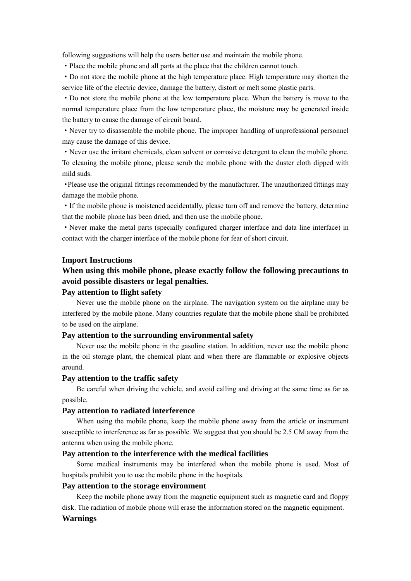following suggestions will help the users better use and maintain the mobile phone.

·Place the mobile phone and all parts at the place that the children cannot touch.

·Do not store the mobile phone at the high temperature place. High temperature may shorten the service life of the electric device, damage the battery, distort or melt some plastic parts.

·Do not store the mobile phone at the low temperature place. When the battery is move to the normal temperature place from the low temperature place, the moisture may be generated inside the battery to cause the damage of circuit board.

·Never try to disassemble the mobile phone. The improper handling of unprofessional personnel may cause the damage of this device.

·Never use the irritant chemicals, clean solvent or corrosive detergent to clean the mobile phone. To cleaning the mobile phone, please scrub the mobile phone with the duster cloth dipped with mild suds.

·Please use the original fittings recommended by the manufacturer. The unauthorized fittings may damage the mobile phone.

·If the mobile phone is moistened accidentally, please turn off and remove the battery, determine that the mobile phone has been dried, and then use the mobile phone.

·Never make the metal parts (specially configured charger interface and data line interface) in contact with the charger interface of the mobile phone for fear of short circuit.

#### **Import Instructions**

#### **When using this mobile phone, please exactly follow the following precautions to avoid possible disasters or legal penalties.**

#### **Pay attention to flight safety**

Never use the mobile phone on the airplane. The navigation system on the airplane may be interfered by the mobile phone. Many countries regulate that the mobile phone shall be prohibited to be used on the airplane.

#### **Pay attention to the surrounding environmental safety**

Never use the mobile phone in the gasoline station. In addition, never use the mobile phone in the oil storage plant, the chemical plant and when there are flammable or explosive objects around.

#### **Pay attention to the traffic safety**

Be careful when driving the vehicle, and avoid calling and driving at the same time as far as possible.

#### **Pay attention to radiated interference**

When using the mobile phone, keep the mobile phone away from the article or instrument susceptible to interference as far as possible. We suggest that you should be 2.5 CM away from the antenna when using the mobile phone.

#### **Pay attention to the interference with the medical facilities**

Some medical instruments may be interfered when the mobile phone is used. Most of hospitals prohibit you to use the mobile phone in the hospitals.

#### **Pay attention to the storage environment**

Keep the mobile phone away from the magnetic equipment such as magnetic card and floppy disk. The radiation of mobile phone will erase the information stored on the magnetic equipment.

#### **Warnings**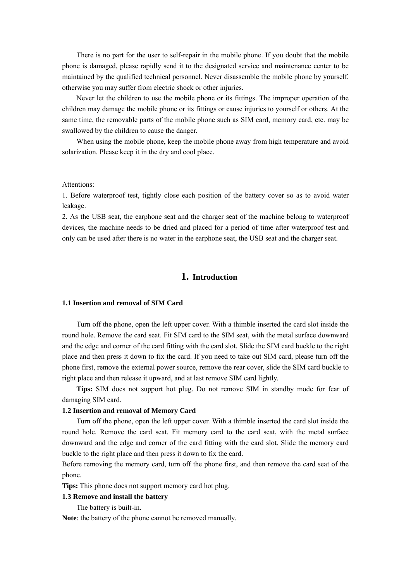There is no part for the user to self-repair in the mobile phone. If you doubt that the mobile phone is damaged, please rapidly send it to the designated service and maintenance center to be maintained by the qualified technical personnel. Never disassemble the mobile phone by yourself, otherwise you may suffer from electric shock or other injuries.

Never let the children to use the mobile phone or its fittings. The improper operation of the children may damage the mobile phone or its fittings or cause injuries to yourself or others. At the same time, the removable parts of the mobile phone such as SIM card, memory card, etc. may be swallowed by the children to cause the danger.

When using the mobile phone, keep the mobile phone away from high temperature and avoid solarization. Please keep it in the dry and cool place.

#### Attentions:

1. Before waterproof test, tightly close each position of the battery cover so as to avoid water leakage.

2. As the USB seat, the earphone seat and the charger seat of the machine belong to waterproof devices, the machine needs to be dried and placed for a period of time after waterproof test and only can be used after there is no water in the earphone seat, the USB seat and the charger seat.

#### **1. Introduction**

#### **1.1 Insertion and removal of SIM Card**

Turn off the phone, open the left upper cover. With a thimble inserted the card slot inside the round hole. Remove the card seat. Fit SIM card to the SIM seat, with the metal surface downward and the edge and corner of the card fitting with the card slot. Slide the SIM card buckle to the right place and then press it down to fix the card. If you need to take out SIM card, please turn off the phone first, remove the external power source, remove the rear cover, slide the SIM card buckle to right place and then release it upward, and at last remove SIM card lightly.

**Tips:** SIM does not support hot plug. Do not remove SIM in standby mode for fear of damaging SIM card.

#### **1.2 Insertion and removal of Memory Card**

Turn off the phone, open the left upper cover. With a thimble inserted the card slot inside the round hole. Remove the card seat. Fit memory card to the card seat, with the metal surface downward and the edge and corner of the card fitting with the card slot. Slide the memory card buckle to the right place and then press it down to fix the card.

Before removing the memory card, turn off the phone first, and then remove the card seat of the phone.

**Tips:** This phone does not support memory card hot plug.

#### **1.3 Remove and install the battery**

The battery is built-in.

**Note**: the battery of the phone cannot be removed manually.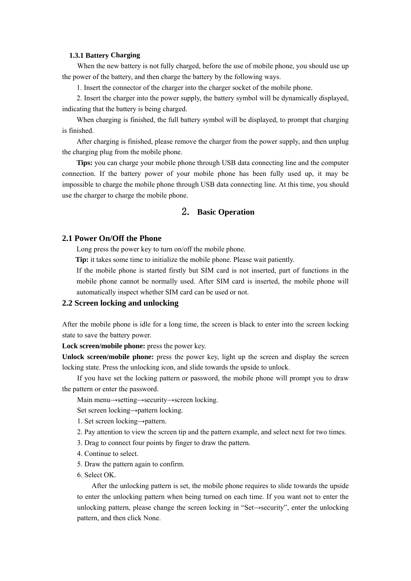#### **1.3.1 Battery Charging**

When the new battery is not fully charged, before the use of mobile phone, you should use up the power of the battery, and then charge the battery by the following ways.

1. Insert the connector of the charger into the charger socket of the mobile phone.

2. Insert the charger into the power supply, the battery symbol will be dynamically displayed, indicating that the battery is being charged.

When charging is finished, the full battery symbol will be displayed, to prompt that charging is finished.

After charging is finished, please remove the charger from the power supply, and then unplug the charging plug from the mobile phone.

**Tips:** you can charge your mobile phone through USB data connecting line and the computer connection. If the battery power of your mobile phone has been fully used up, it may be impossible to charge the mobile phone through USB data connecting line. At this time, you should use the charger to charge the mobile phone.

#### 2. **Basic Operation**

#### **2.1 Power On/Off the Phone**

Long press the power key to turn on/off the mobile phone.

**Tip:** it takes some time to initialize the mobile phone. Please wait patiently.

If the mobile phone is started firstly but SIM card is not inserted, part of functions in the mobile phone cannot be normally used. After SIM card is inserted, the mobile phone will automatically inspect whether SIM card can be used or not.

#### **2.2 Screen locking and unlocking**

After the mobile phone is idle for a long time, the screen is black to enter into the screen locking state to save the battery power.

Lock screen/mobile phone: press the power key.

Unlock screen/mobile phone: press the power key, light up the screen and display the screen locking state. Press the unlocking icon, and slide towards the upside to unlock.

If you have set the locking pattern or password, the mobile phone will prompt you to draw the pattern or enter the password.

Main menu→setting→security→screen locking.

Set screen locking→pattern locking.

1. Set screen locking→pattern.

2. Pay attention to view the screen tip and the pattern example, and select next for two times.

3. Drag to connect four points by finger to draw the pattern.

- 4. Continue to select.
- 5. Draw the pattern again to confirm.
- 6. Select OK.

After the unlocking pattern is set, the mobile phone requires to slide towards the upside to enter the unlocking pattern when being turned on each time. If you want not to enter the unlocking pattern, please change the screen locking in "Set→security", enter the unlocking pattern, and then click None.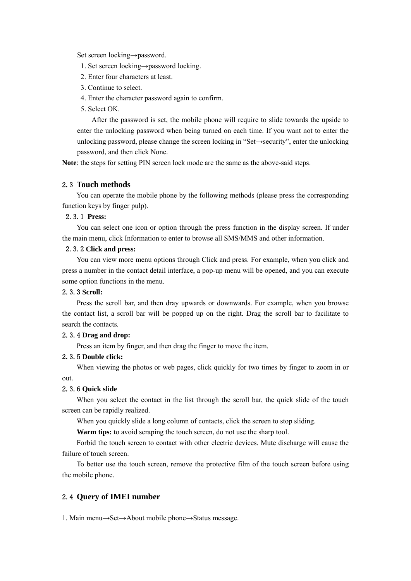Set screen locking→password.

1. Set screen locking→password locking.

2. Enter four characters at least.

3. Continue to select.

4. Enter the character password again to confirm.

5. Select OK.

After the password is set, the mobile phone will require to slide towards the upside to enter the unlocking password when being turned on each time. If you want not to enter the unlocking password, please change the screen locking in "Set→security", enter the unlocking password, and then click None.

**Note**: the steps for setting PIN screen lock mode are the same as the above-said steps.

#### 2.3 **Touch methods**

You can operate the mobile phone by the following methods (please press the corresponding function keys by finger pulp).

#### 2.3.1 **Press:**

You can select one icon or option through the press function in the display screen. If under the main menu, click Information to enter to browse all SMS/MMS and other information.

#### 2.3.2 **Click and press:**

You can view more menu options through Click and press. For example, when you click and press a number in the contact detail interface, a pop-up menu will be opened, and you can execute some option functions in the menu.

#### 2.3.3 **Scroll:**

Press the scroll bar, and then dray upwards or downwards. For example, when you browse the contact list, a scroll bar will be popped up on the right. Drag the scroll bar to facilitate to search the contacts.

#### 2.3.4 **Drag and drop:**

Press an item by finger, and then drag the finger to move the item.

#### 2.3.5 **Double click:**

When viewing the photos or web pages, click quickly for two times by finger to zoom in or out.

#### 2.3.6 **Quick slide**

When you select the contact in the list through the scroll bar, the quick slide of the touch screen can be rapidly realized.

When you quickly slide a long column of contacts, click the screen to stop sliding.

**Warm tips:** to avoid scraping the touch screen, do not use the sharp tool.

Forbid the touch screen to contact with other electric devices. Mute discharge will cause the failure of touch screen.

To better use the touch screen, remove the protective film of the touch screen before using the mobile phone.

#### 2.4 **Query of IMEI number**

1. Main menu→Set→About mobile phone→Status message.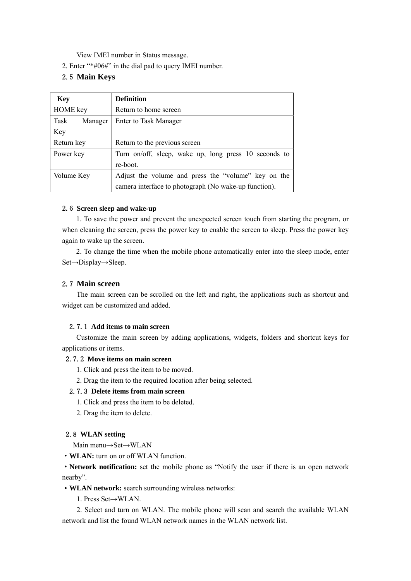View IMEI number in Status message.

2. Enter "\*#06#" in the dial pad to query IMEI number.

#### 2.5 **Main Keys**

| <b>Key</b>      | <b>Definition</b>                                     |  |
|-----------------|-------------------------------------------------------|--|
| <b>HOME</b> key | Return to home screen                                 |  |
| Task<br>Manager | <b>Enter to Task Manager</b>                          |  |
| Key             |                                                       |  |
| Return key      | Return to the previous screen                         |  |
| Power key       | Turn on/off, sleep, wake up, long press 10 seconds to |  |
|                 | re-boot.                                              |  |
| Volume Key      | Adjust the volume and press the "volume" key on the   |  |
|                 | camera interface to photograph (No wake-up function). |  |

#### 2.6 **Screen sleep and wake-up**

1. To save the power and prevent the unexpected screen touch from starting the program, or when cleaning the screen, press the power key to enable the screen to sleep. Press the power key again to wake up the screen.

2. To change the time when the mobile phone automatically enter into the sleep mode, enter Set→Display→Sleep.

#### 2.7 **Main screen**

The main screen can be scrolled on the left and right, the applications such as shortcut and widget can be customized and added.

#### 2.7.1 **Add items to main screen**

Customize the main screen by adding applications, widgets, folders and shortcut keys for applications or items.

#### 2.7.2 **Move items on main screen**

- 1. Click and press the item to be moved.
- 2. Drag the item to the required location after being selected.

#### 2.7.3 **Delete items from main screen**

- 1. Click and press the item to be deleted.
- 2. Drag the item to delete.

#### 2.8 **WLAN setting**

Main menu→Set→WLAN

·**WLAN:** turn on or off WLAN function.

·**Network notification:** set the mobile phone as "Notify the user if there is an open network nearby".

·**WLAN network:** search surrounding wireless networks:

1. Press Set→WLAN.

2. Select and turn on WLAN. The mobile phone will scan and search the available WLAN network and list the found WLAN network names in the WLAN network list.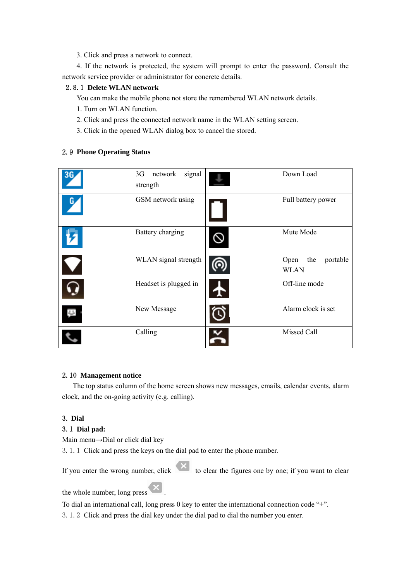3. Click and press a network to connect.

4. If the network is protected, the system will prompt to enter the password. Consult the network service provider or administrator for concrete details.

#### 2.8.1 **Delete WLAN network**

You can make the mobile phone not store the remembered WLAN network details.

- 1. Turn on WLAN function.
- 2. Click and press the connected network name in the WLAN setting screen.
- 3. Click in the opened WLAN dialog box to cancel the stored.

#### 2.9 **Phone Operating Status**

| 36 | signal<br>3G<br>network<br>strength | Down Load                              |
|----|-------------------------------------|----------------------------------------|
| L  | GSM network using                   | Full battery power                     |
|    | Battery charging                    | Mute Mode                              |
|    | WLAN signal strength                | Open<br>the<br>portable<br><b>WLAN</b> |
|    | Headset is plugged in               | Off-line mode                          |
| ŧ  | New Message                         | Alarm clock is set                     |
|    | Calling                             | Missed Call                            |

#### 2.10 **Management notice**

The top status column of the home screen shows new messages, emails, calendar events, alarm clock, and the on-going activity (e.g. calling).

#### 3. **Dial**

#### 3.1 **Dial pad:**

Main menu→Dial or click dial key

3.1.1 Click and press the keys on the dial pad to enter the phone number.

If you enter the wrong number, click  $\overline{X}$  to clear the figures one by one; if you want to clear

the whole number, long press  $\left|\mathbf{x}\right|$ .

To dial an international call, long press 0 key to enter the international connection code "+".

3.1.2 Click and press the dial key under the dial pad to dial the number you enter.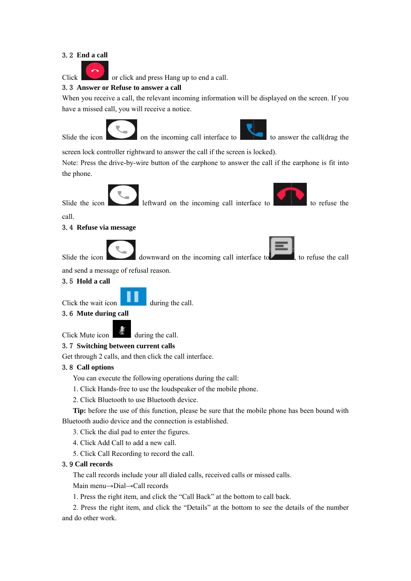#### 3.2 **End a call**

Click or click and press Hang up to end a call.

#### 3.3 **Answer or Refuse to answer a call**

When you receive a call, the relevant incoming information will be displayed on the screen. If you have a missed call, you will receive a notice.



Slide the icon on the incoming call interface to to answer the call  $(\text{drag the})$ 



screen lock controller rightward to answer the call if the screen is locked).

Note: Press the drive-by-wire button of the earphone to answer the call if the earphone is fit into the phone.



call.

#### 3.4 **Refuse via message**



and send a message of refusal reason.

#### 3.5 **Hold a call**

Click the wait icon during the call.

#### 3.6 **Mute during call**

Click Mute icon during the call.

#### 3.7 **Switching between current calls**

Get through 2 calls, and then click the call interface.

#### 3.8 **Call options**

You can execute the following operations during the call:

- 1. Click Hands-free to use the loudspeaker of the mobile phone.
- 2. Click Bluetooth to use Bluetooth device.

**Tip:** before the use of this function, please be sure that the mobile phone has been bound with Bluetooth audio device and the connection is established.

- 3. Click the dial pad to enter the figures.
- 4. Click Add Call to add a new call.
- 5. Click Call Recording to record the call.

#### 3.9 **Call records**

The call records include your all dialed calls, received calls or missed calls.

Main menu→Dial→Call records

1. Press the right item, and click the "Call Back" at the bottom to call back.

2. Press the right item, and click the "Details" at the bottom to see the details of the number and do other work.

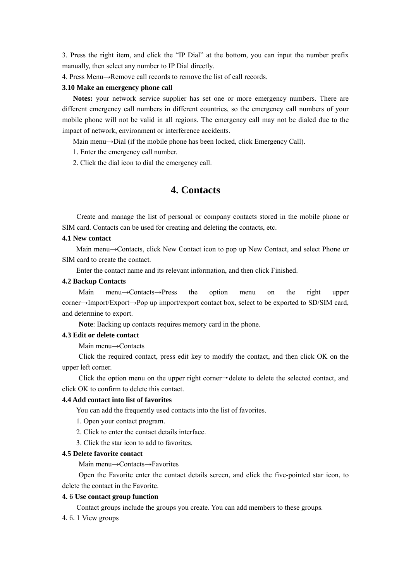3. Press the right item, and click the "IP Dial" at the bottom, you can input the number prefix manually, then select any number to IP Dial directly.

4. Press Menu→Remove call records to remove the list of call records.

#### **3.10 Make an emergency phone call**

**Notes:** your network service supplier has set one or more emergency numbers. There are different emergency call numbers in different countries, so the emergency call numbers of your mobile phone will not be valid in all regions. The emergency call may not be dialed due to the impact of network, environment or interference accidents.

Main menu→Dial (if the mobile phone has been locked, click Emergency Call).

1. Enter the emergency call number.

2. Click the dial icon to dial the emergency call.

### **4. Contacts**

Create and manage the list of personal or company contacts stored in the mobile phone or SIM card. Contacts can be used for creating and deleting the contacts, etc.

#### **4.1 New contact**

Main menu→Contacts, click New Contact icon to pop up New Contact, and select Phone or SIM card to create the contact.

Enter the contact name and its relevant information, and then click Finished.

#### **4.2 Backup Contacts**

Main menu→Contacts→Press the option menu on the right upper corner→Import/Export→Pop up import/export contact box, select to be exported to SD/SIM card, and determine to export.

**Note**: Backing up contacts requires memory card in the phone.

#### **4.3 Edit or delete contact**

Main menu→Contacts

Click the required contact, press edit key to modify the contact, and then click OK on the upper left corner.

Click the option menu on the upper right corner→delete to delete the selected contact, and click OK to confirm to delete this contact.

#### **4.4 Add contact into list of favorites**

You can add the frequently used contacts into the list of favorites.

- 1. Open your contact program.
- 2. Click to enter the contact details interface.
- 3. Click the star icon to add to favorites.

#### **4.5 Delete favorite contact**

Main menu→Contacts→Favorites

Open the Favorite enter the contact details screen, and click the five-pointed star icon, to delete the contact in the Favorite.

#### 4.6 **Use contact group function**

Contact groups include the groups you create. You can add members to these groups.

4.6.1 View groups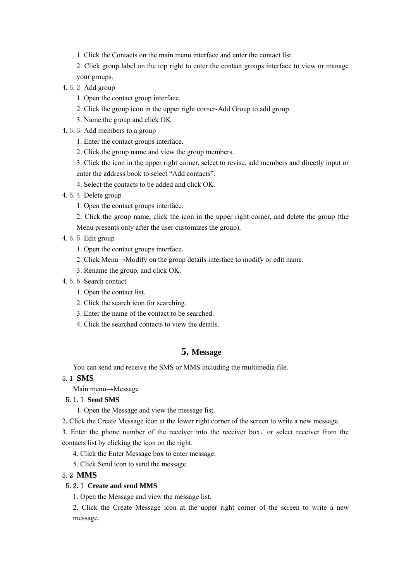- 1. Click the Contacts on the main menu interface and enter the contact list.
- 2. Click group label on the top right to enter the contact groups interface to view or manage your groups.
- 4.6.2 Add group
	- 1. Open the contact group interface.
	- 2. Click the group icon in the upper right corner-Add Group to add group.
	- 3. Name the group and click OK.
- 4.6.3 Add members to a group
	- 1. Enter the contact groups interface.
	- 2. Click the group name and view the group members.
	- 3. Click the icon in the upper right corner, select to revise, add members and directly input or enter the address book to select "Add contacts".
	- 4. Select the contacts to be added and click OK.
- 4.6.4 Delete group
	- 1. Open the contact groups interface.
	- 2. Click the group name, click the icon in the upper right corner, and delete the group (the Menu presents only after the user customizes the group).
- 4.6.5 Edit group
	- 1. Open the contact groups interface.
	- 2. Click Menu→Modify on the group details interface to modify or edit name.
	- 3. Rename the group, and click OK.
- 4.6.6 Search contact
	- 1. Open the contact list.
	- 2. Click the search icon for searching.
	- 3. Enter the name of the contact to be searched.
	- 4. Click the searched contacts to view the details.

#### **5. Message**

You can send and receive the SMS or MMS including the multimedia file.

#### 5.1 **SMS**

Main menu→Message

#### 5.1.1 **Send SMS**

1. Open the Message and view the message list.

2. Click the Create Message icon at the lower right corner of the screen to write a new message.

3. Enter the phone number of the receiver into the receiver box, or select receiver from the contacts list by clicking the icon on the right.

4. Click the Enter Message box to enter message.

5. Click Send icon to send the message.

#### 5.2 **MMS**

#### 5.2.1 **Create and send MMS**

1. Open the Message and view the message list.

2. Click the Create Message icon at the upper right corner of the screen to write a new message.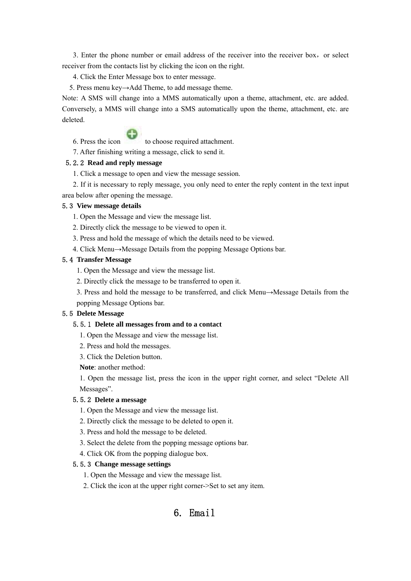3. Enter the phone number or email address of the receiver into the receiver box, or select receiver from the contacts list by clicking the icon on the right.

4. Click the Enter Message box to enter message.

5. Press menu key→Add Theme, to add message theme.

Note: A SMS will change into a MMS automatically upon a theme, attachment, etc. are added. Conversely, a MMS will change into a SMS automatically upon the theme, attachment, etc. are deleted.

6. Press the icon to choose required attachment.

7. After finishing writing a message, click to send it.

#### 5.2.2 **Read and reply message**

1. Click a message to open and view the message session.

2. If it is necessary to reply message, you only need to enter the reply content in the text input area below after opening the message.

#### 5.3 **View message details**

- 1. Open the Message and view the message list.
- 2. Directly click the message to be viewed to open it.
- 3. Press and hold the message of which the details need to be viewed.
- 4. Click Menu→Message Details from the popping Message Options bar.

#### 5.4 **Transfer Message**

- 1. Open the Message and view the message list.
- 2. Directly click the message to be transferred to open it.
- 3. Press and hold the message to be transferred, and click Menu→Message Details from the

popping Message Options bar.

#### 5.5 **Delete Message**

#### 5.5.1 **Delete all messages from and to a contact**

- 1. Open the Message and view the message list.
- 2. Press and hold the messages.
- 3. Click the Deletion button.

**Note**: another method:

1. Open the message list, press the icon in the upper right corner, and select "Delete All Messages".

#### 5.5.2 **Delete a message**

- 1. Open the Message and view the message list.
- 2. Directly click the message to be deleted to open it.
- 3. Press and hold the message to be deleted.
- 3. Select the delete from the popping message options bar.
- 4. Click OK from the popping dialogue box.

#### 5.5.3 **Change message settings**

- 1. Open the Message and view the message list.
- 2. Click the icon at the upper right corner->Set to set any item.

### 6. Email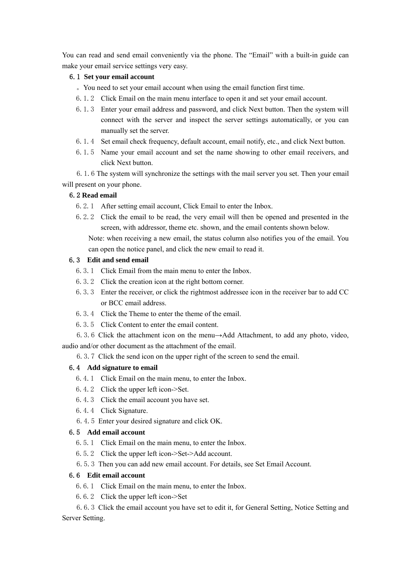You can read and send email conveniently via the phone. The "Email" with a built-in guide can make your email service settings very easy.

#### 6.1 **Set your email account**

。You need to set your email account when using the email function first time.

- 6.1.2 Click Email on the main menu interface to open it and set your email account.
- 6.1.3 Enter your email address and password, and click Next button. Then the system will connect with the server and inspect the server settings automatically, or you can manually set the server.
- 6.1.4 Set email check frequency, default account, email notify, etc., and click Next button.
- 6.1.5 Name your email account and set the name showing to other email receivers, and click Next button.

6.1.6 The system will synchronize the settings with the mail server you set. Then your email will present on your phone.

#### 6.2 **Read email**

6.2.1 After setting email account, Click Email to enter the Inbox.

can open the notice panel, and click the new email to read it.

6.2.2 Click the email to be read, the very email will then be opened and presented in the screen, with addressor, theme etc. shown, and the email contents shown below. Note: when receiving a new email, the status column also notifies you of the email. You

#### 6.3 **Edit and send email**

- 6.3.1 Click Email from the main menu to enter the Inbox.
- 6.3.2 Click the creation icon at the right bottom corner.
- 6.3.3 Enter the receiver, or click the rightmost addressee icon in the receiver bar to add CC or BCC email address.
- 6.3.4 Click the Theme to enter the theme of the email.
- 6.3.5 Click Content to enter the email content.
- 6.3.6 Click the attachment icon on the menu→Add Attachment, to add any photo, video, audio and/or other document as the attachment of the email.
	- 6.3.7 Click the send icon on the upper right of the screen to send the email.

#### 6.4 **Add signature to email**

- 6.4.1 Click Email on the main menu, to enter the Inbox.
- 6.4.2 Click the upper left icon->Set.
- 6.4.3 Click the email account you have set.
- 6.4.4 Click Signature.
- 6.4.5 Enter your desired signature and click OK.

#### 6.5 **Add email account**

- 6.5.1 Click Email on the main menu, to enter the Inbox.
- 6.5.2 Click the upper left icon->Set->Add account.
- 6.5.3 Then you can add new email account. For details, see Set Email Account.

#### 6.6 **Edit email account**

- 6.6.1 Click Email on the main menu, to enter the Inbox.
- 6.6.2 Click the upper left icon->Set

6.6.3 Click the email account you have set to edit it, for General Setting, Notice Setting and Server Setting.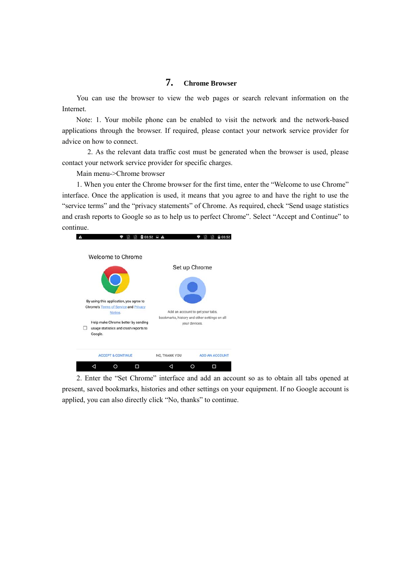### **7. Chrome Browser**

You can use the browser to view the web pages or search relevant information on the Internet.

Note: 1. Your mobile phone can be enabled to visit the network and the network-based applications through the browser. If required, please contact your network service provider for advice on how to connect.

2. As the relevant data traffic cost must be generated when the browser is used, please contact your network service provider for specific charges.

Main menu->Chrome browser

1. When you enter the Chrome browser for the first time, enter the "Welcome to use Chrome" interface. Once the application is used, it means that you agree to and have the right to use the "service terms" and the "privacy statements" of Chrome. As required, check "Send usage statistics and crash reports to Google so as to help us to perfect Chrome". Select "Accept and Continue" to continue.



2. Enter the "Set Chrome" interface and add an account so as to obtain all tabs opened at present, saved bookmarks, histories and other settings on your equipment. If no Google account is applied, you can also directly click "No, thanks" to continue.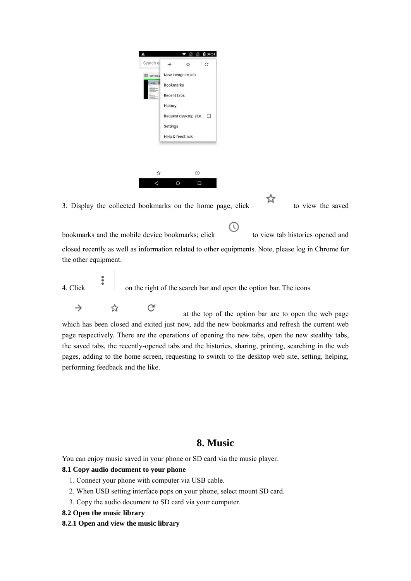

closed recently as well as information related to other equipments. Note, please log in Chrome for the other equipment.

4. Click on the right of the search bar and open the option bar. The icons

 $\rightarrow$ 

performing feedback and the like.

☆  $\mathcal{C}$  at the top of the option bar are to open the web page which has been closed and exited just now, add the new bookmarks and refresh the current web page respectively. There are the operations of opening the new tabs, open the new stealthy tabs, the saved tabs, the recently-opened tabs and the histories, sharing, printing, searching in the web pages, adding to the home screen, requesting to switch to the desktop web site, setting, helping,

### **8. Music**

You can enjoy music saved in your phone or SD card via the music player.

#### **8.1 Copy audio document to your phone**

- 1. Connect your phone with computer via USB cable.
- 2. When USB setting interface pops on your phone, select mount SD card.
- 3. Copy the audio document to SD card via your computer.
- **8.2 Open the music library**
- **8.2.1 Open and view the music library**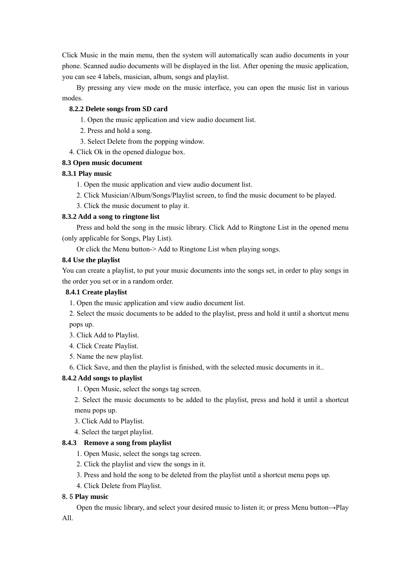Click Music in the main menu, then the system will automatically scan audio documents in your phone. Scanned audio documents will be displayed in the list. After opening the music application, you can see 4 labels, musician, album, songs and playlist.

By pressing any view mode on the music interface, you can open the music list in various modes.

#### **8.2.2 Delete songs from SD card**

- 1. Open the music application and view audio document list.
- 2. Press and hold a song.
- 3. Select Delete from the popping window.
- 4. Click Ok in the opened dialogue box.

#### **8.3 Open music document**

#### **8.3.1 Play music**

- 1. Open the music application and view audio document list.
- 2. Click Musician/Album/Songs/Playlist screen, to find the music document to be played.
- 3. Click the music document to play it.

#### **8.3.2 Add a song to ringtone list**

Press and hold the song in the music library. Click Add to Ringtone List in the opened menu (only applicable for Songs, Play List).

Or click the Menu button-> Add to Ringtone List when playing songs.

#### **8.4 Use the playlist**

You can create a playlist, to put your music documents into the songs set, in order to play songs in the order you set or in a random order.

#### **8.4.1 Create playlist**

- 1. Open the music application and view audio document list.
- 2. Select the music documents to be added to the playlist, press and hold it until a shortcut menu pops up.
- 3. Click Add to Playlist.
- 4. Click Create Playlist.
- 5. Name the new playlist.
- 6. Click Save, and then the playlist is finished, with the selected music documents in it..

#### **8.4.2 Add songs to playlist**

1. Open Music, select the songs tag screen.

2. Select the music documents to be added to the playlist, press and hold it until a shortcut menu pops up.

3. Click Add to Playlist.

4. Select the target playlist.

#### **8.4.3 Remove a song from playlist**

- 1. Open Music, select the songs tag screen.
- 2. Click the playlist and view the songs in it.
- 3. Press and hold the song to be deleted from the playlist until a shortcut menu pops up.
- 4. Click Delete from Playlist.

#### 8.5 **Play music**

Open the music library, and select your desired music to listen it; or press Menu button→Play

#### All.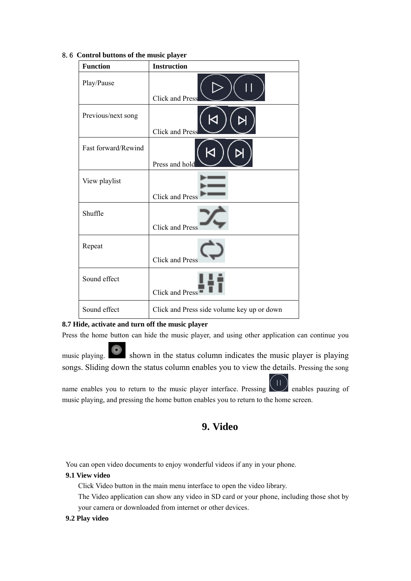| <b>Function</b>     | <b>Instruction</b>                         |
|---------------------|--------------------------------------------|
| Play/Pause          | <b>Click and Press</b>                     |
| Previous/next song  | <b>Click and Press</b>                     |
| Fast forward/Rewind | Press and hold                             |
| View playlist       | <b>Click and Press</b>                     |
| Shuffle             | <b>Click and Press</b>                     |
| Repeat              | <b>Click and Press</b>                     |
| Sound effect        | Click and Press                            |
| Sound effect        | Click and Press side volume key up or down |

#### 8.6 **Control buttons of the music player**

#### **8.7 Hide, activate and turn off the music player**

Press the home button can hide the music player, and using other application can continue you

music playing. Shown in the status column indicates the music player is playing songs. Sliding down the status column enables you to view the details. Pressing the song

name enables you to return to the music player interface. Pressing  $\left(\begin{array}{c} \prod \end{array}\right)$  enables pauzing of music playing, and pressing the home button enables you to return to the home screen.

### **9. Video**

You can open video documents to enjoy wonderful videos if any in your phone.

#### **9.1 View video**

Click Video button in the main menu interface to open the video library.

The Video application can show any video in SD card or your phone, including those shot by your camera or downloaded from internet or other devices.

#### **9.2 Play video**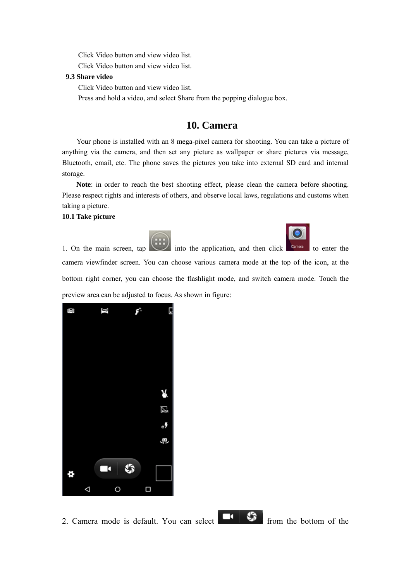Click Video button and view video list.

Click Video button and view video list.

#### **9.3 Share video**

Click Video button and view video list.

Press and hold a video, and select Share from the popping dialogue box.

### **10. Camera**

Your phone is installed with an 8 mega-pixel camera for shooting. You can take a picture of anything via the camera, and then set any picture as wallpaper or share pictures via message, Bluetooth, email, etc. The phone saves the pictures you take into external SD card and internal storage.

**Note**: in order to reach the best shooting effect, please clean the camera before shooting. Please respect rights and interests of others, and observe local laws, regulations and customs when taking a picture.

#### **10.1 Take picture**





1. On the main screen, tap into the application, and then click  $\frac{Gamma}{\text{cm}}$  to enter the camera viewfinder screen. You can choose various camera mode at the top of the icon, at the bottom right corner, you can choose the flashlight mode, and switch camera mode. Touch the preview area can be adjusted to focus. As shown in figure:



2. Camera mode is default. You can select  $\begin{bmatrix} 1 & 1 \\ 1 & 1 \end{bmatrix}$  from the bottom of the

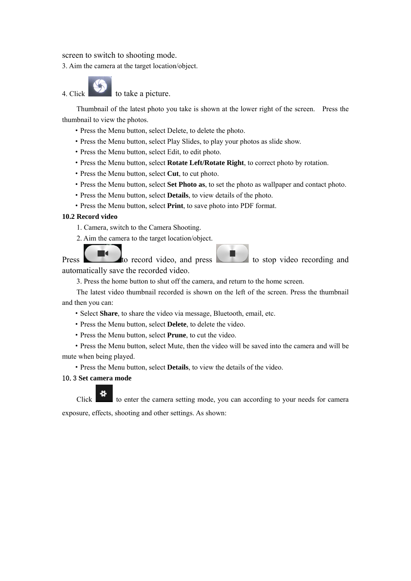screen to switch to shooting mode.

3. Aim the camera at the target location/object.

4. Click to take a picture.

Thumbnail of the latest photo you take is shown at the lower right of the screen. Press the thumbnail to view the photos.

- ·Press the Menu button, select Delete, to delete the photo.
- ·Press the Menu button, select Play Slides, to play your photos as slide show.
- ·Press the Menu button, select Edit, to edit photo.
- ·Press the Menu button, select **Rotate Left/Rotate Right**, to correct photo by rotation.
- ·Press the Menu button, select **Cut**, to cut photo.
- ·Press the Menu button, select **Set Photo as**, to set the photo as wallpaper and contact photo.
- ·Press the Menu button, select **Details**, to view details of the photo.
- ·Press the Menu button, select **Print**, to save photo into PDF format.

#### **10.2 Record video**

- 1. Camera, switch to the Camera Shooting.
- 2. Aim the camera to the target location/object.

 $\blacksquare$ Press to record video, and press to stop video recording and automatically save the recorded video.

3. Press the home button to shut off the camera, and return to the home screen.

The latest video thumbnail recorded is shown on the left of the screen. Press the thumbnail and then you can:

- ·Select **Share**, to share the video via message, Bluetooth, email, etc.
- ·Press the Menu button, select **Delete**, to delete the video.
- ·Press the Menu button, select **Prune**, to cut the video.

·Press the Menu button, select Mute, then the video will be saved into the camera and will be mute when being played.

·Press the Menu button, select **Details**, to view the details of the video.

#### 10.3 **Set camera mode**

Click to enter the camera setting mode, you can according to your needs for camera exposure, effects, shooting and other settings. As shown: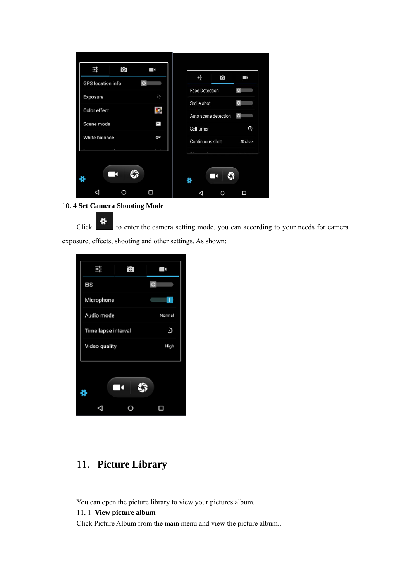| ō,<br>굨<br>п<br>귴<br>$\overline{O}$<br>$\blacksquare$<br>$\circ$<br>GPS location info<br>$\circ$<br><b>Face Detection</b><br>$\frac{4}{9} \frac{e}{e}$<br>Exposure<br>$\circ$<br>Smile shot<br>Color effect<br>Auto scene detection<br>$\circ$<br>⊡<br>Scene mode<br>Self timer |
|---------------------------------------------------------------------------------------------------------------------------------------------------------------------------------------------------------------------------------------------------------------------------------|
|                                                                                                                                                                                                                                                                                 |
|                                                                                                                                                                                                                                                                                 |
|                                                                                                                                                                                                                                                                                 |
|                                                                                                                                                                                                                                                                                 |
|                                                                                                                                                                                                                                                                                 |
|                                                                                                                                                                                                                                                                                 |
|                                                                                                                                                                                                                                                                                 |
| White balance<br>Ow<br>Continuous shot<br>40 shots                                                                                                                                                                                                                              |
| i,<br>the contract of the contract of<br>$\cdots$                                                                                                                                                                                                                               |

#### 10.4 **Set Camera Shooting Mode**

Click to enter the camera setting mode, you can according to your needs for camera exposure, effects, shooting and other settings. As shown:

|                     | ö | E       |
|---------------------|---|---------|
| EIS                 |   | $\circ$ |
| Microphone          |   |         |
| Audio mode          |   | Normal  |
| Time lapse interval |   | Э       |
| Video quality       |   | High    |
| N.                  | − |         |
|                     |   |         |

### 11. **Picture Library**

You can open the picture library to view your pictures album.

#### 11.1 **View picture album**

Click Picture Album from the main menu and view the picture album..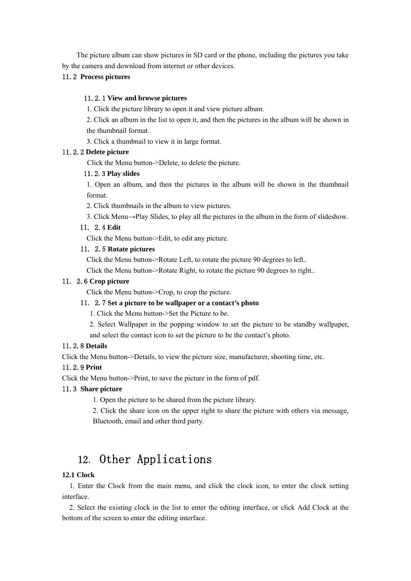The picture album can show pictures in SD card or the phone, including the pictures you take by the camera and download from internet or other devices.

#### 11.2 **Process pictures**

#### 11.2.1 **View and browse pictures**

1. Click the picture library to open it and view picture album.

2. Click an album in the list to open it, and then the pictures in the album will be shown in the thumbnail format.

3. Click a thumbnail to view it in large format.

#### 11.2.2 **Delete picture**

Click the Menu button->Delete, to delete the picture.

#### 11.2.3 **Play slides**

1. Open an album, and then the pictures in the album will be shown in the thumbnail format.

2. Click thumbnails in the album to view pictures.

3. Click Menu→Play Slides, to play all the pictures in the album in the form of slideshow.

#### 11. 2.4 **Edit**

Click the Menu button->Edit, to edit any picture.

#### 11. 2.5 **Rotate pictures**

Click the Menu button->Rotate Left, to rotate the picture 90 degrees to left..

Click the Menu button->Rotate Right, to rotate the picture 90 degrees to right..

#### 11. 2.6 **Crop picture**

Click the Menu button->Crop, to crop the picture.

#### 11. 2.7 **Set a picture to be wallpaper or a contact's photo**

1. Click the Menu button->Set the Picture to be.

2. Select Wallpaper in the popping window to set the picture to be standby wallpaper, and select the contact icon to set the picture to be the contact's photo.

#### 11.2.8 **Details**

Click the Menu button->Details, to view the picture size, manufacturer, shooting time, etc.

#### 11.2.9 **Print**

Click the Menu button->Print, to save the picture in the form of pdf.

#### 11.3 **Share picture**

1. Open the picture to be shared from the picture library.

2. Click the share icon on the upper right to share the picture with others via message, Bluetooth, email and other third party.

## 12. Other Applications

#### **12.1 Clock**

1. Enter the Clock from the main menu, and click the clock icon, to enter the clock setting interface.

2. Select the existing clock in the list to enter the editing interface, or click Add Clock at the bottom of the screen to enter the editing interface.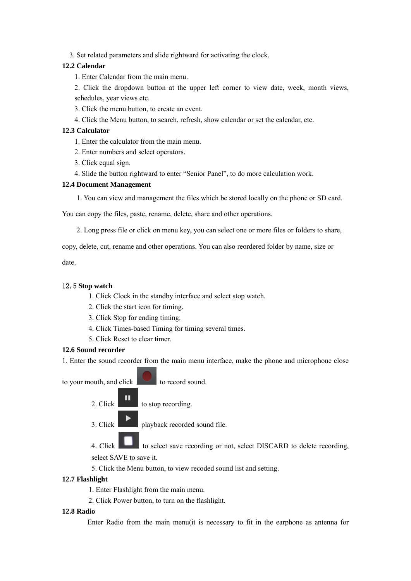3. Set related parameters and slide rightward for activating the clock.

#### **12.2 Calendar**

1. Enter Calendar from the main menu.

2. Click the dropdown button at the upper left corner to view date, week, month views, schedules, year views etc.

- 3. Click the menu button, to create an event.
- 4. Click the Menu button, to search, refresh, show calendar or set the calendar, etc.

#### **12.3 Calculator**

- 1. Enter the calculator from the main menu.
- 2. Enter numbers and select operators.
- 3. Click equal sign.
- 4. Slide the button rightward to enter "Senior Panel", to do more calculation work.

#### **12.4 Document Management**

1. You can view and management the files which be stored locally on the phone or SD card.

You can copy the files, paste, rename, delete, share and other operations.

2. Long press file or click on menu key, you can select one or more files or folders to share,

copy, delete, cut, rename and other operations. You can also reordered folder by name, size or

date.

#### 12.5 **Stop watch**

- 1. Click Clock in the standby interface and select stop watch.
- 2. Click the start icon for timing.
- 3. Click Stop for ending timing.
- 4. Click Times-based Timing for timing several times.
- 5. Click Reset to clear timer.

#### **12.6 Sound recorder**

1. Enter the sound recorder from the main menu interface, make the phone and microphone close

to your mouth, and click to record sound.

- ш 2. Click  $\begin{array}{c} \hline \end{array}$  to stop recording.
- 3. Click playback recorded sound file.

4. Click to select save recording or not, select DISCARD to delete recording, select SAVE to save it.

5. Click the Menu button, to view recoded sound list and setting.

#### **12.7 Flashlight**

- 1. Enter Flashlight from the main menu.
- 2. Click Power button, to turn on the flashlight.

#### **12.8 Radio**

Enter Radio from the main menu(it is necessary to fit in the earphone as antenna for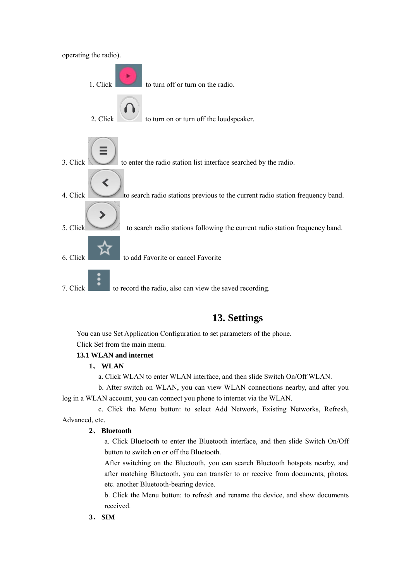

### **13. Settings**

You can use Set Application Configuration to set parameters of the phone. Click Set from the main menu.

#### **13.1 WLAN and internet**

#### **1**、 **WLAN**

- a. Click WLAN to enter WLAN interface, and then slide Switch On/Off WLAN.
- b. After switch on WLAN, you can view WLAN connections nearby, and after you log in a WLAN account, you can connect you phone to internet via the WLAN.

 c. Click the Menu button: to select Add Network, Existing Networks, Refresh, Advanced, etc.

#### **2**、 **Bluetooth**

a. Click Bluetooth to enter the Bluetooth interface, and then slide Switch On/Off button to switch on or off the Bluetooth.

After switching on the Bluetooth, you can search Bluetooth hotspots nearby, and after matching Bluetooth, you can transfer to or receive from documents, photos, etc. another Bluetooth-bearing device.

b. Click the Menu button: to refresh and rename the device, and show documents received.

#### **3**、 **SIM**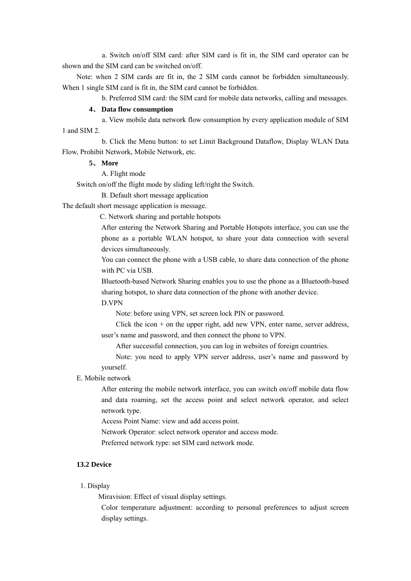a. Switch on/off SIM card: after SIM card is fit in, the SIM card operator can be shown and the SIM card can be switched on/off.

Note: when 2 SIM cards are fit in, the 2 SIM cards cannot be forbidden simultaneously. When 1 single SIM card is fit in, the SIM card cannot be forbidden.

b. Preferred SIM card: the SIM card for mobile data networks, calling and messages.

#### **4**、 **Data flow consumption**

 a. View mobile data network flow consumption by every application module of SIM 1 and SIM 2.

 b. Click the Menu button: to set Limit Background Dataflow, Display WLAN Data Flow, Prohibit Network, Mobile Network, etc.

#### **5**、 **More**

A. Flight mode

Switch on/off the flight mode by sliding left/right the Switch.

B. Default short message application

The default short message application is message.

C. Network sharing and portable hotspots

After entering the Network Sharing and Portable Hotspots interface, you can use the phone as a portable WLAN hotspot, to share your data connection with several devices simultaneously.

You can connect the phone with a USB cable, to share data connection of the phone with PC via USB.

Bluetooth-based Network Sharing enables you to use the phone as a Bluetooth-based sharing hotspot, to share data connection of the phone with another device.

D.VPN

Note: before using VPN, set screen lock PIN or password.

Click the icon  $+$  on the upper right, add new VPN, enter name, server address, user's name and password, and then connect the phone to VPN.

After successful connection, you can log in websites of foreign countries.

Note: you need to apply VPN server address, user's name and password by yourself.

#### E. Mobile network

After entering the mobile network interface, you can switch on/off mobile data flow and data roaming, set the access point and select network operator, and select network type.

Access Point Name: view and add access point.

Network Operator: select network operator and access mode.

Preferred network type: set SIM card network mode.

#### **13.2 Device**

#### 1. Display

Miravision: Effect of visual display settings.

Color temperature adjustment: according to personal preferences to adjust screen display settings.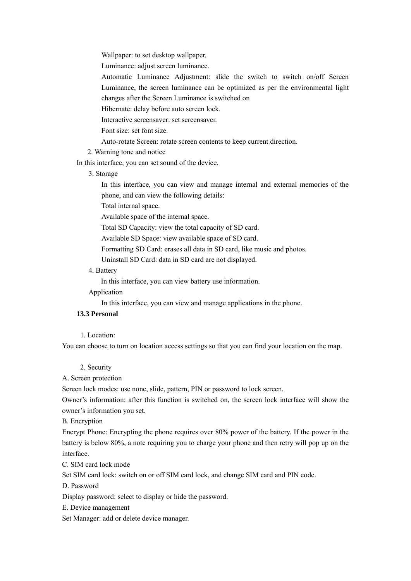Wallpaper: to set desktop wallpaper.

Luminance: adjust screen luminance.

Automatic Luminance Adjustment: slide the switch to switch on/off Screen Luminance, the screen luminance can be optimized as per the environmental light changes after the Screen Luminance is switched on

Hibernate: delay before auto screen lock.

Interactive screensaver: set screensaver.

Font size: set font size.

Auto-rotate Screen: rotate screen contents to keep current direction.

2. Warning tone and notice

In this interface, you can set sound of the device.

3. Storage

In this interface, you can view and manage internal and external memories of the phone, and can view the following details:

Total internal space.

Available space of the internal space.

Total SD Capacity: view the total capacity of SD card.

Available SD Space: view available space of SD card.

Formatting SD Card: erases all data in SD card, like music and photos.

Uninstall SD Card: data in SD card are not displayed.

#### 4. Battery

In this interface, you can view battery use information.

Application

In this interface, you can view and manage applications in the phone.

#### **13.3 Personal**

1. Location:

You can choose to turn on location access settings so that you can find your location on the map.

#### 2. Security

A. Screen protection

Screen lock modes: use none, slide, pattern, PIN or password to lock screen.

Owner's information: after this function is switched on, the screen lock interface will show the owner's information you set.

B. Encryption

Encrypt Phone: Encrypting the phone requires over 80% power of the battery. If the power in the battery is below 80%, a note requiring you to charge your phone and then retry will pop up on the interface.

C. SIM card lock mode

Set SIM card lock: switch on or off SIM card lock, and change SIM card and PIN code.

D. Password

Display password: select to display or hide the password.

E. Device management

Set Manager: add or delete device manager.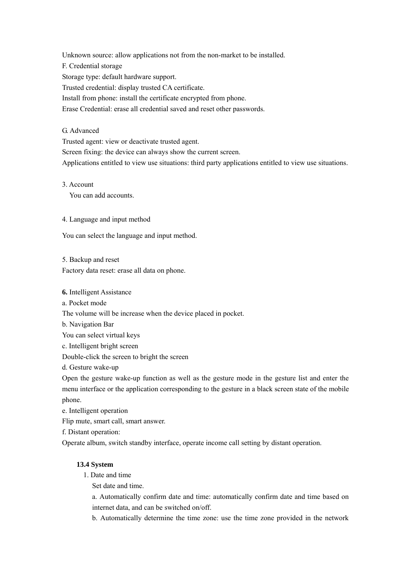Unknown source: allow applications not from the non-market to be installed. F. Credential storage Storage type: default hardware support. Trusted credential: display trusted CA certificate. Install from phone: install the certificate encrypted from phone. Erase Credential: erase all credential saved and reset other passwords.

#### G. Advanced

Trusted agent: view or deactivate trusted agent.

Screen fixing: the device can always show the current screen.

Applications entitled to view use situations: third party applications entitled to view use situations.

#### 3. Account

You can add accounts.

#### 4. Language and input method

You can select the language and input method.

5. Backup and reset

Factory data reset: erase all data on phone.

**6.** Intelligent Assistance

a. Pocket mode

The volume will be increase when the device placed in pocket.

b. Navigation Bar

You can select virtual keys

c. Intelligent bright screen

Double-click the screen to bright the screen

d. Gesture wake-up

Open the gesture wake-up function as well as the gesture mode in the gesture list and enter the menu interface or the application corresponding to the gesture in a black screen state of the mobile phone.

e. Intelligent operation

Flip mute, smart call, smart answer.

f. Distant operation:

Operate album, switch standby interface, operate income call setting by distant operation.

#### **13.4 System**

1. Date and time

Set date and time.

a. Automatically confirm date and time: automatically confirm date and time based on internet data, and can be switched on/off.

b. Automatically determine the time zone: use the time zone provided in the network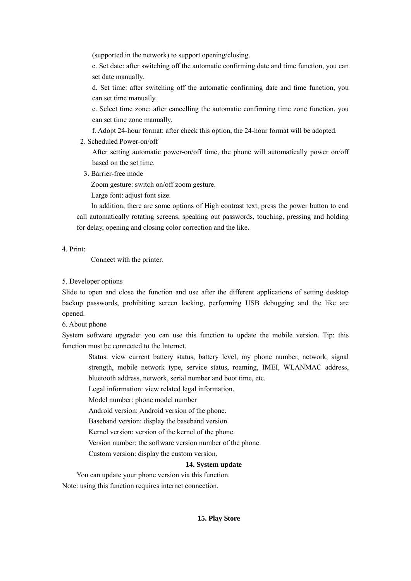(supported in the network) to support opening/closing.

c. Set date: after switching off the automatic confirming date and time function, you can set date manually.

d. Set time: after switching off the automatic confirming date and time function, you can set time manually.

e. Select time zone: after cancelling the automatic confirming time zone function, you can set time zone manually.

f. Adopt 24-hour format: after check this option, the 24-hour format will be adopted.

2. Scheduled Power-on/off

After setting automatic power-on/off time, the phone will automatically power on/off based on the set time.

3. Barrier-free mode

Zoom gesture: switch on/off zoom gesture.

Large font: adjust font size.

In addition, there are some options of High contrast text, press the power button to end call automatically rotating screens, speaking out passwords, touching, pressing and holding for delay, opening and closing color correction and the like.

4. Print:

Connect with the printer.

#### 5. Developer options

Slide to open and close the function and use after the different applications of setting desktop backup passwords, prohibiting screen locking, performing USB debugging and the like are opened.

6. About phone

System software upgrade: you can use this function to update the mobile version. Tip: this function must be connected to the Internet.

Status: view current battery status, battery level, my phone number, network, signal strength, mobile network type, service status, roaming, IMEI, WLANMAC address, bluetooth address, network, serial number and boot time, etc.

Legal information: view related legal information.

Model number: phone model number

Android version: Android version of the phone.

Baseband version: display the baseband version.

Kernel version: version of the kernel of the phone.

Version number: the software version number of the phone.

Custom version: display the custom version.

#### **14. System update**

You can update your phone version via this function. Note: using this function requires internet connection.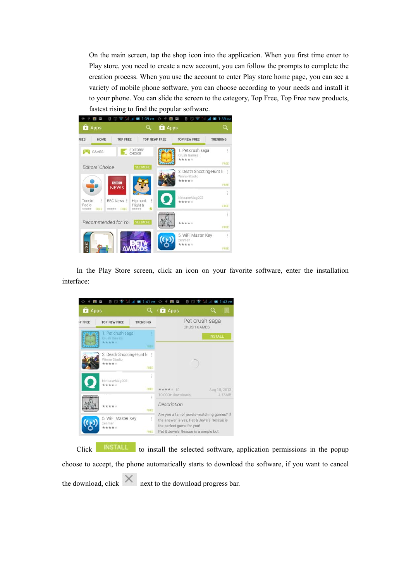On the main screen, tap the shop icon into the application. When you first time enter to Play store, you need to create a new account, you can follow the prompts to complete the creation process. When you use the account to enter Play store home page, you can see a variety of mobile phone software, you can choose according to your needs and install it to your phone. You can slide the screen to the category, Top Free, Top Free new products, fastest rising to find the popular software.



In the Play Store screen, click an icon on your favorite software, enter the installation interface:



Click **INSTALL** to install the selected software, application permissions in the popup choose to accept, the phone automatically starts to download the software, if you want to cancel the download, click  $\mathbb{R}$  next to the download progress bar.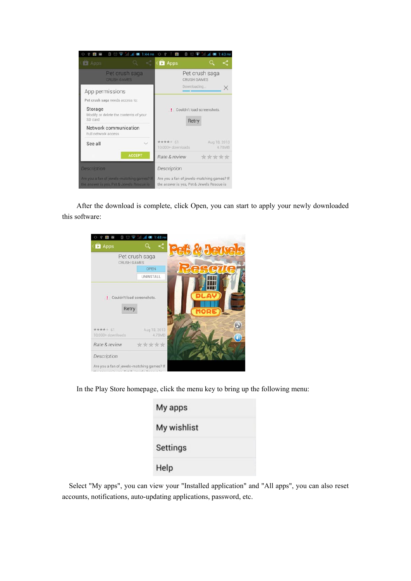

After the download is complete, click Open, you can start to apply your newly downloaded this software:

| Ð<br>Ü                                                    | $\frac{1}{2}$ all all $\blacksquare$ 1:48 PM           |                      |
|-----------------------------------------------------------|--------------------------------------------------------|----------------------|
| <b>D</b> Apps                                             |                                                        | <b>Javels</b><br>276 |
|                                                           | Pet crush saga<br><b>CRUSH GAMES</b>                   |                      |
|                                                           | OPEN                                                   |                      |
|                                                           | <b>UNINSTALL</b>                                       |                      |
| Retry<br>***** 61<br>10,000+ downloads                    | ! Couldn't load screenshots.<br>Aug 18, 2013<br>4.78MB | MORE                 |
| Rate & review                                             | *****                                                  |                      |
| Description<br>Are you a fan of jewels-matching games? If |                                                        |                      |

In the Play Store homepage, click the menu key to bring up the following menu:

| My apps     |  |
|-------------|--|
| My wishlist |  |
| Settings    |  |
| Help        |  |

Select "My apps", you can view your "Installed application" and "All apps", you can also reset accounts, notifications, auto-updating applications, password, etc.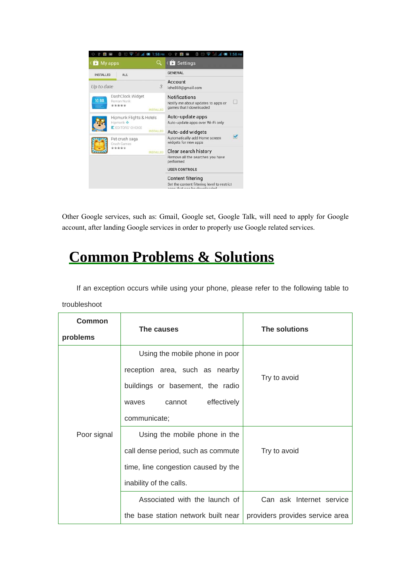

Other Google services, such as: Gmail, Google set, Google Talk, will need to apply for Google account, after landing Google services in order to properly use Google related services.

# **Common Problems & Solutions**

If an exception occurs while using your phone, please refer to the following table to

troubleshoot

| Common<br>problems | The causes                          | The solutions                   |
|--------------------|-------------------------------------|---------------------------------|
|                    | Using the mobile phone in poor      |                                 |
| Poor signal        | reception area, such as nearby      |                                 |
|                    | buildings or basement, the radio    | Try to avoid                    |
|                    | effectively<br>cannot<br>waves      |                                 |
|                    | communicate;                        |                                 |
|                    | Using the mobile phone in the       |                                 |
|                    | call dense period, such as commute  | Try to avoid                    |
|                    | time, line congestion caused by the |                                 |
|                    | inability of the calls.             |                                 |
|                    | Associated with the launch of       | Can ask Internet service        |
|                    | the base station network built near | providers provides service area |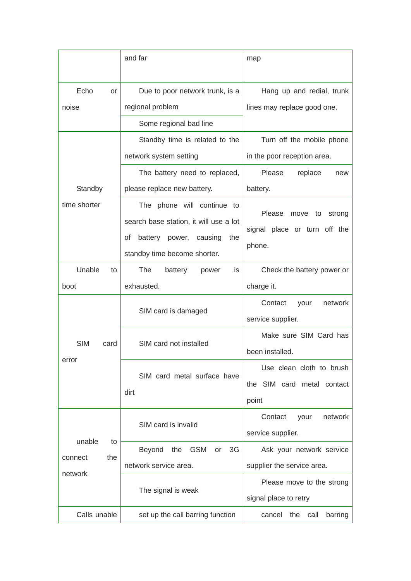|                                           | and far                                                                                                                                        | map                                                                                              |
|-------------------------------------------|------------------------------------------------------------------------------------------------------------------------------------------------|--------------------------------------------------------------------------------------------------|
| Echo<br>or<br>noise                       | Due to poor network trunk, is a<br>regional problem<br>Some regional bad line                                                                  | Hang up and redial, trunk<br>lines may replace good one.                                         |
| Standby                                   | Standby time is related to the<br>network system setting<br>The battery need to replaced,<br>please replace new battery.                       | Turn off the mobile phone<br>in the poor reception area.<br>Please<br>replace<br>new<br>battery. |
| time shorter                              | The phone will continue to<br>search base station, it will use a lot<br>οf<br>battery<br>power, causing<br>the<br>standby time become shorter. | Please move to<br>strong<br>signal place or turn off the<br>phone.                               |
| Unable<br>to<br>boot                      | The<br>battery<br>power<br>İS.<br>exhausted.                                                                                                   | Check the battery power or<br>charge it.                                                         |
|                                           | SIM card is damaged                                                                                                                            | Contact<br>network<br>your<br>service supplier.                                                  |
| <b>SIM</b><br>card                        | SIM card not installed                                                                                                                         | Make sure SIM Card has<br>been installed.                                                        |
| error                                     | SIM card metal surface have<br>dirt                                                                                                            | Use clean cloth to brush<br>the SIM card metal contact<br>point                                  |
|                                           | SIM card is invalid                                                                                                                            | Contact<br>network<br>your<br>service supplier.                                                  |
| unable<br>to<br>the<br>connect<br>network | <b>GSM</b><br><b>Beyond</b><br>the<br>3G<br>or<br>network service area.                                                                        | Ask your network service<br>supplier the service area.                                           |
|                                           | The signal is weak                                                                                                                             | Please move to the strong<br>signal place to retry                                               |
| Calls unable                              | set up the call barring function                                                                                                               | call<br>barring<br>cancel<br>the                                                                 |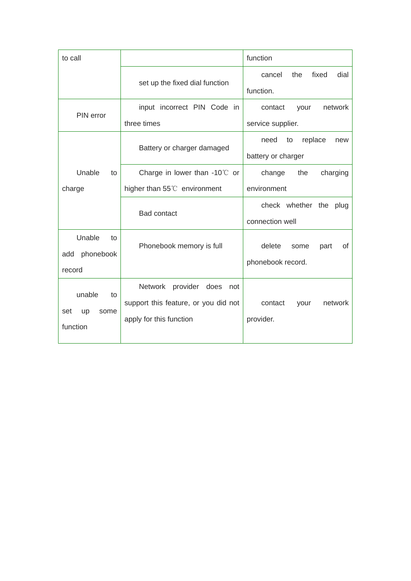| to call           |                                        | function                       |
|-------------------|----------------------------------------|--------------------------------|
|                   |                                        | fixed<br>dial<br>the<br>cancel |
|                   | set up the fixed dial function         | function.                      |
| PIN error         | input incorrect PIN Code in            | network<br>contact<br>your     |
|                   | three times                            | service supplier.              |
|                   | Battery or charger damaged             | replace<br>need<br>to<br>new   |
|                   |                                        | battery or charger             |
| Unable<br>to      | Charge in lower than $-10^{\circ}$ or  | change<br>the<br>charging      |
| charge            | higher than $55^{\circ}$ environment   | environment                    |
|                   | <b>Bad contact</b>                     | check whether the plug         |
|                   |                                        | connection well                |
| Unable<br>to      | Phonebook memory is full               | delete<br>of<br>some<br>part   |
| phonebook<br>add  |                                        |                                |
| record            |                                        | phonebook record.              |
| unable<br>to      | <b>Network</b><br>provider does<br>not |                                |
|                   | support this feature, or you did not   | network<br>contact<br>your     |
| set<br>up<br>some | apply for this function                | provider.                      |
| function          |                                        |                                |